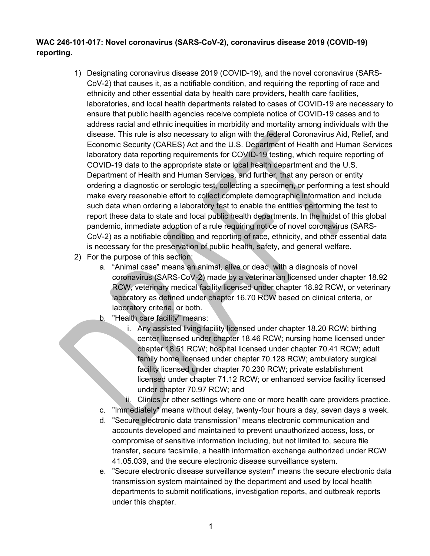## **WAC 246-101-017: Novel coronavirus (SARS-CoV-2), coronavirus disease 2019 (COVID-19) reporting.**

- 1) Designating coronavirus disease 2019 (COVID-19), and the novel coronavirus (SARS-CoV-2) that causes it, as a notifiable condition, and requiring the reporting of race and ethnicity and other essential data by health care providers, health care facilities, laboratories, and local health departments related to cases of COVID-19 are necessary to ensure that public health agencies receive complete notice of COVID-19 cases and to address racial and ethnic inequities in morbidity and mortality among individuals with the disease. This rule is also necessary to align with the federal Coronavirus Aid, Relief, and Economic Security (CARES) Act and the U.S. Department of Health and Human Services laboratory data reporting requirements for COVID-19 testing, which require reporting of COVID-19 data to the appropriate state or local health department and the U.S. Department of Health and Human Services, and further, that any person or entity ordering a diagnostic or serologic test, collecting a specimen, or performing a test should make every reasonable effort to collect complete demographic information and include such data when ordering a laboratory test to enable the entities performing the test to report these data to state and local public health departments. In the midst of this global pandemic, immediate adoption of a rule requiring notice of novel coronavirus (SARS-CoV-2) as a notifiable condition and reporting of race, ethnicity, and other essential data is necessary for the preservation of public health, safety, and general welfare.
- 2) For the purpose of this section:
	- a. "Animal case" means an animal, alive or dead, with a diagnosis of novel coronavirus (SARS-CoV-2) made by a veterinarian licensed under chapter 18.92 RCW, veterinary medical facility licensed under chapter 18.92 RCW, or veterinary laboratory as defined under chapter 16.70 RCW based on clinical criteria, or laboratory criteria, or both.
	- b. "Health care facility" means:
		- i. Any assisted living facility licensed under chapter 18.20 RCW; birthing center licensed under chapter 18.46 RCW; nursing home licensed under chapter 18.51 RCW; hospital licensed under chapter 70.41 RCW; adult family home licensed under chapter 70.128 RCW; ambulatory surgical facility licensed under chapter 70.230 RCW; private establishment licensed under chapter 71.12 RCW; or enhanced service facility licensed under chapter 70.97 RCW; and
		- ii. Clinics or other settings where one or more health care providers practice.
	- c. "Immediately" means without delay, twenty-four hours a day, seven days a week.
	- d. "Secure electronic data transmission" means electronic communication and accounts developed and maintained to prevent unauthorized access, loss, or compromise of sensitive information including, but not limited to, secure file transfer, secure facsimile, a health information exchange authorized under RCW 41.05.039, and the secure electronic disease surveillance system.
	- e. "Secure electronic disease surveillance system" means the secure electronic data transmission system maintained by the department and used by local health departments to submit notifications, investigation reports, and outbreak reports under this chapter.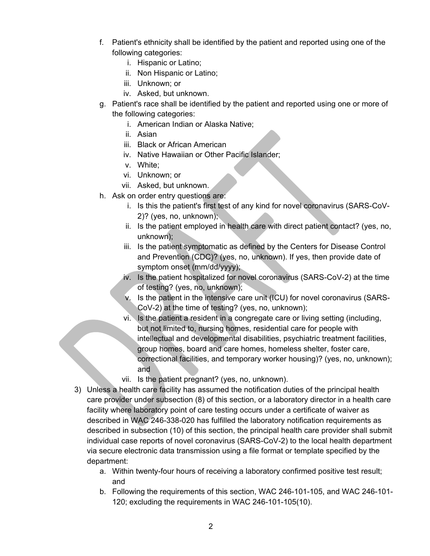- f. Patient's ethnicity shall be identified by the patient and reported using one of the following categories:
	- i. Hispanic or Latino;
	- ii. Non Hispanic or Latino;
	- iii. Unknown; or
	- iv. Asked, but unknown.
- g. Patient's race shall be identified by the patient and reported using one or more of the following categories:
	- i. American Indian or Alaska Native;
	- ii. Asian
	- iii. Black or African American
	- iv. Native Hawaiian or Other Pacific Islander;
	- v. White;
	- vi. Unknown; or
	- vii. Asked, but unknown.
- h. Ask on order entry questions are:
	- i. Is this the patient's first test of any kind for novel coronavirus (SARS-CoV-2)? (yes, no, unknown);
	- ii. Is the patient employed in health care with direct patient contact? (yes, no, unknown);
	- iii. Is the patient symptomatic as defined by the Centers for Disease Control and Prevention (CDC)? (yes, no, unknown). If yes, then provide date of symptom onset (mm/dd/yyyy);
	- iv. Is the patient hospitalized for novel coronavirus (SARS-CoV-2) at the time of testing? (yes, no, unknown);
	- v. Is the patient in the intensive care unit (ICU) for novel coronavirus (SARS-CoV-2) at the time of testing? (yes, no, unknown);
	- vi. Is the patient a resident in a congregate care or living setting (including, but not limited to, nursing homes, residential care for people with intellectual and developmental disabilities, psychiatric treatment facilities, group homes, board and care homes, homeless shelter, foster care, correctional facilities, and temporary worker housing)? (yes, no, unknown); and
	- vii. Is the patient pregnant? (yes, no, unknown).
- 3) Unless a health care facility has assumed the notification duties of the principal health care provider under subsection (8) of this section, or a laboratory director in a health care facility where laboratory point of care testing occurs under a certificate of waiver as described in WAC 246-338-020 has fulfilled the laboratory notification requirements as described in subsection (10) of this section, the principal health care provider shall submit individual case reports of novel coronavirus (SARS-CoV-2) to the local health department via secure electronic data transmission using a file format or template specified by the department:
	- a. Within twenty-four hours of receiving a laboratory confirmed positive test result; and
	- b. Following the requirements of this section, WAC 246-101-105, and WAC 246-101- 120; excluding the requirements in WAC 246-101-105(10).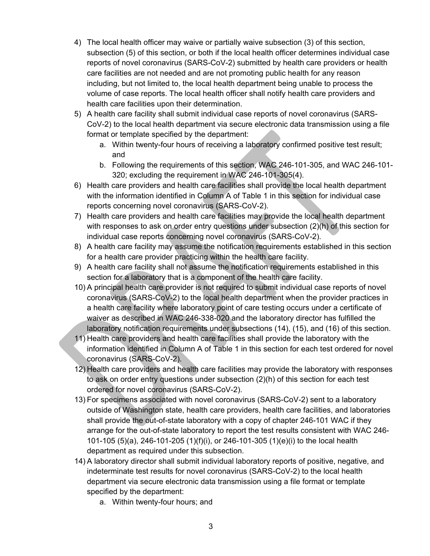- 4) The local health officer may waive or partially waive subsection (3) of this section, subsection (5) of this section, or both if the local health officer determines individual case reports of novel coronavirus (SARS-CoV-2) submitted by health care providers or health care facilities are not needed and are not promoting public health for any reason including, but not limited to, the local health department being unable to process the volume of case reports. The local health officer shall notify health care providers and health care facilities upon their determination.
- 5) A health care facility shall submit individual case reports of novel coronavirus (SARS-CoV-2) to the local health department via secure electronic data transmission using a file format or template specified by the department:
	- a. Within twenty-four hours of receiving a laboratory confirmed positive test result; and
	- b. Following the requirements of this section, WAC 246-101-305, and WAC 246-101- 320; excluding the requirement in WAC 246-101-305(4).
- 6) Health care providers and health care facilities shall provide the local health department with the information identified in Column A of Table 1 in this section for individual case reports concerning novel coronavirus (SARS-CoV-2).
- 7) Health care providers and health care facilities may provide the local health department with responses to ask on order entry questions under subsection (2)(h) of this section for individual case reports concerning novel coronavirus (SARS-CoV-2).
- 8) A health care facility may assume the notification requirements established in this section for a health care provider practicing within the health care facility.
- 9) A health care facility shall not assume the notification requirements established in this section for a laboratory that is a component of the health care facility.
- 10) A principal health care provider is not required to submit individual case reports of novel coronavirus (SARS-CoV-2) to the local health department when the provider practices in a health care facility where laboratory point of care testing occurs under a certificate of waiver as described in WAC 246-338-020 and the laboratory director has fulfilled the laboratory notification requirements under subsections (14), (15), and (16) of this section.
- 11) Health care providers and health care facilities shall provide the laboratory with the information identified in Column A of Table 1 in this section for each test ordered for novel coronavirus (SARS-CoV-2).
- 12) Health care providers and health care facilities may provide the laboratory with responses to ask on order entry questions under subsection (2)(h) of this section for each test ordered for novel coronavirus (SARS-CoV-2).
- 13) For specimens associated with novel coronavirus (SARS-CoV-2) sent to a laboratory outside of Washington state, health care providers, health care facilities, and laboratories shall provide the out-of-state laboratory with a copy of chapter 246-101 WAC if they arrange for the out-of-state laboratory to report the test results consistent with WAC 246- 101-105 (5)(a), 246-101-205 (1)(f)(i), or 246-101-305 (1)(e)(i) to the local health department as required under this subsection.
- 14) A laboratory director shall submit individual laboratory reports of positive, negative, and indeterminate test results for novel coronavirus (SARS-CoV-2) to the local health department via secure electronic data transmission using a file format or template specified by the department:
	- a. Within twenty-four hours; and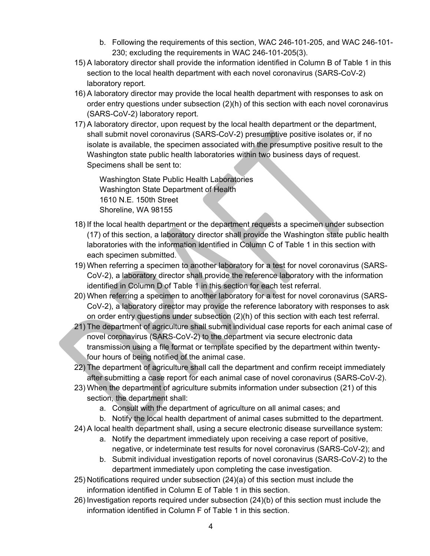- b. Following the requirements of this section, WAC 246-101-205, and WAC 246-101- 230; excluding the requirements in WAC 246-101-205(3).
- 15) A laboratory director shall provide the information identified in Column B of Table 1 in this section to the local health department with each novel coronavirus (SARS-CoV-2) laboratory report.
- 16) A laboratory director may provide the local health department with responses to ask on order entry questions under subsection (2)(h) of this section with each novel coronavirus (SARS-CoV-2) laboratory report.
- 17) A laboratory director, upon request by the local health department or the department, shall submit novel coronavirus (SARS-CoV-2) presumptive positive isolates or, if no isolate is available, the specimen associated with the presumptive positive result to the Washington state public health laboratories within two business days of request. Specimens shall be sent to:

Washington State Public Health Laboratories Washington State Department of Health 1610 N.E. 150th Street Shoreline, WA 98155

- 18) If the local health department or the department requests a specimen under subsection (17) of this section, a laboratory director shall provide the Washington state public health laboratories with the information identified in Column C of Table 1 in this section with each specimen submitted.
- 19) When referring a specimen to another laboratory for a test for novel coronavirus (SARS-CoV-2), a laboratory director shall provide the reference laboratory with the information identified in Column D of Table 1 in this section for each test referral.
- 20) When referring a specimen to another laboratory for a test for novel coronavirus (SARS-CoV-2), a laboratory director may provide the reference laboratory with responses to ask on order entry questions under subsection (2)(h) of this section with each test referral.
- 21) The department of agriculture shall submit individual case reports for each animal case of novel coronavirus (SARS-CoV-2) to the department via secure electronic data transmission using a file format or template specified by the department within twentyfour hours of being notified of the animal case.
- 22) The department of agriculture shall call the department and confirm receipt immediately after submitting a case report for each animal case of novel coronavirus (SARS-CoV-2).
- 23) When the department of agriculture submits information under subsection (21) of this section, the department shall:
	- a. Consult with the department of agriculture on all animal cases; and
	- b. Notify the local health department of animal cases submitted to the department.
- 24) A local health department shall, using a secure electronic disease surveillance system:
	- a. Notify the department immediately upon receiving a case report of positive, negative, or indeterminate test results for novel coronavirus (SARS-CoV-2); and
	- b. Submit individual investigation reports of novel coronavirus (SARS-CoV-2) to the department immediately upon completing the case investigation.
- 25) Notifications required under subsection (24)(a) of this section must include the information identified in Column E of Table 1 in this section.
- 26) Investigation reports required under subsection (24)(b) of this section must include the information identified in Column F of Table 1 in this section.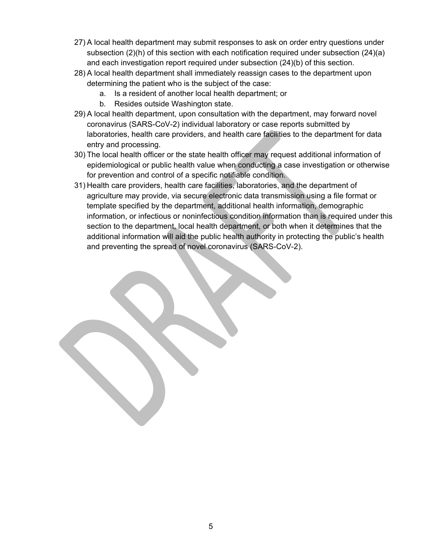- 27) A local health department may submit responses to ask on order entry questions under subsection (2)(h) of this section with each notification required under subsection (24)(a) and each investigation report required under subsection (24)(b) of this section.
- 28) A local health department shall immediately reassign cases to the department upon determining the patient who is the subject of the case:
	- a. Is a resident of another local health department; or
	- b. Resides outside Washington state.
- 29) A local health department, upon consultation with the department, may forward novel coronavirus (SARS-CoV-2) individual laboratory or case reports submitted by laboratories, health care providers, and health care facilities to the department for data entry and processing.
- 30) The local health officer or the state health officer may request additional information of epidemiological or public health value when conducting a case investigation or otherwise for prevention and control of a specific notifiable condition.
- 31) Health care providers, health care facilities, laboratories, and the department of agriculture may provide, via secure electronic data transmission using a file format or template specified by the department, additional health information, demographic information, or infectious or noninfectious condition information than is required under this section to the department, local health department, or both when it determines that the additional information will aid the public health authority in protecting the public's health and preventing the spread of novel coronavirus (SARS-CoV-2).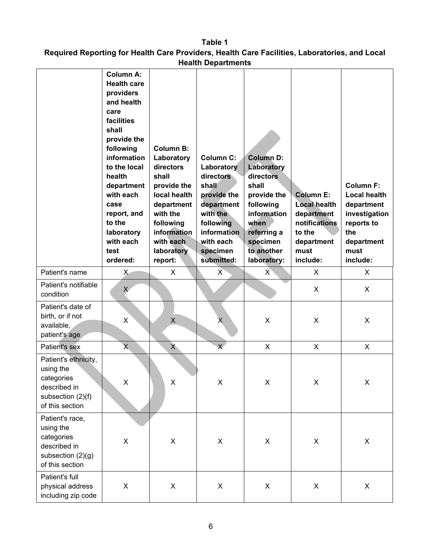**Table 1 Required Reporting for Health Care Providers, Health Care Facilities, Laboratories, and Local Health Departments**

|                                                                                                         | <b>Column A:</b><br><b>Health care</b><br>providers<br>and health<br>care<br>facilities<br>shall<br>provide the<br>following<br>information<br>to the local<br>health<br>department<br>with each<br>case<br>report, and<br>to the<br>laboratory<br>with each<br>test<br>ordered: | <b>Column B:</b><br>Laboratory<br>directors<br>shall<br>provide the<br>local health<br>department<br>with the<br>following<br>information<br>with each<br>laboratory<br>report: | <b>Column C:</b><br>Laboratory<br>directors<br>shall<br>provide the<br>department<br>with the<br>following<br><b>information</b><br>with each<br>specimen<br>submitted: | <b>Column D:</b><br>Laboratory<br>directors<br>shall<br>provide the<br>following<br>information<br>when<br>referring a<br>specimen<br>to another<br>laboratory: | <b>Column E:</b><br><b>Local health</b><br>department<br>notifications<br>to the<br>department<br>must<br>include: | <b>Column F:</b><br><b>Local health</b><br>department<br>investigation<br>reports to<br>the<br>department<br>must<br>include: |
|---------------------------------------------------------------------------------------------------------|----------------------------------------------------------------------------------------------------------------------------------------------------------------------------------------------------------------------------------------------------------------------------------|---------------------------------------------------------------------------------------------------------------------------------------------------------------------------------|-------------------------------------------------------------------------------------------------------------------------------------------------------------------------|-----------------------------------------------------------------------------------------------------------------------------------------------------------------|--------------------------------------------------------------------------------------------------------------------|-------------------------------------------------------------------------------------------------------------------------------|
| Patient's name                                                                                          | X                                                                                                                                                                                                                                                                                | X                                                                                                                                                                               | X                                                                                                                                                                       | X                                                                                                                                                               | X                                                                                                                  | X.                                                                                                                            |
| Patient's notifiable<br>condition                                                                       | $\chi$                                                                                                                                                                                                                                                                           |                                                                                                                                                                                 |                                                                                                                                                                         |                                                                                                                                                                 | X                                                                                                                  | X                                                                                                                             |
| Patient's date of<br>birth, or if not<br>available,<br>patient's age                                    | X                                                                                                                                                                                                                                                                                | X                                                                                                                                                                               | Х                                                                                                                                                                       | X                                                                                                                                                               | X                                                                                                                  | X                                                                                                                             |
| Patient's sex                                                                                           | $\overline{\mathsf{X}}$                                                                                                                                                                                                                                                          | $X_{-}$                                                                                                                                                                         | $\overline{\mathsf{X}}$                                                                                                                                                 | X                                                                                                                                                               | X                                                                                                                  | X                                                                                                                             |
| Patient's ethnicity,<br>using the<br>categories<br>described in<br>subsection (2)(f)<br>of this section | X                                                                                                                                                                                                                                                                                | X                                                                                                                                                                               | X                                                                                                                                                                       | X                                                                                                                                                               | X                                                                                                                  | X                                                                                                                             |
| Patient's race,<br>using the<br>categories<br>described in<br>subsection (2)(g)<br>of this section      | $\mathsf X$                                                                                                                                                                                                                                                                      | $\pmb{\mathsf{X}}$                                                                                                                                                              | $\pmb{\times}$                                                                                                                                                          | $\pmb{\times}$                                                                                                                                                  | X                                                                                                                  | X                                                                                                                             |
| Patient's full<br>physical address<br>including zip code                                                | $\mathsf X$                                                                                                                                                                                                                                                                      | $\pmb{\times}$                                                                                                                                                                  | $\boldsymbol{\mathsf{X}}$                                                                                                                                               | $\pmb{\times}$                                                                                                                                                  | X                                                                                                                  | $\mathsf{X}$                                                                                                                  |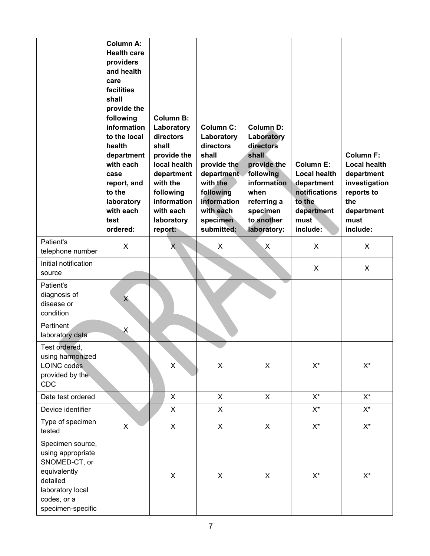|                                                                                                                                            | <b>Column A:</b><br><b>Health care</b><br>providers<br>and health<br>care<br>facilities<br>shall<br>provide the<br>following<br>information<br>to the local<br>health<br>department<br>with each<br>case<br>report, and<br>to the<br>laboratory<br>with each<br>test<br>ordered: | <b>Column B:</b><br>Laboratory<br>directors<br>shall<br>provide the<br>local health<br>department<br>with the<br>following<br>information<br>with each<br>laboratory<br>report: | <b>Column C:</b><br>Laboratory<br>directors<br>shall<br>provide the<br>department<br>with the<br>following<br>information<br>with each<br>specimen<br>submitted: | <b>Column D:</b><br>Laboratory<br>directors<br>shall<br>provide the<br>following<br>information<br>when<br>referring a<br>specimen<br>to another<br>laboratory: | <b>Column E:</b><br><b>Local health</b><br>department<br>notifications<br>to the<br>department<br>must<br>include: | <b>Column F:</b><br><b>Local health</b><br>department<br>investigation<br>reports to<br>the<br>department<br>must<br>include: |
|--------------------------------------------------------------------------------------------------------------------------------------------|----------------------------------------------------------------------------------------------------------------------------------------------------------------------------------------------------------------------------------------------------------------------------------|---------------------------------------------------------------------------------------------------------------------------------------------------------------------------------|------------------------------------------------------------------------------------------------------------------------------------------------------------------|-----------------------------------------------------------------------------------------------------------------------------------------------------------------|--------------------------------------------------------------------------------------------------------------------|-------------------------------------------------------------------------------------------------------------------------------|
| Patient's<br>telephone number                                                                                                              | X                                                                                                                                                                                                                                                                                | X.                                                                                                                                                                              | X                                                                                                                                                                | X                                                                                                                                                               | X                                                                                                                  | X                                                                                                                             |
| Initial notification<br>source                                                                                                             |                                                                                                                                                                                                                                                                                  |                                                                                                                                                                                 |                                                                                                                                                                  |                                                                                                                                                                 | X                                                                                                                  | X                                                                                                                             |
| Patient's<br>diagnosis of<br>disease or<br>condition                                                                                       | X.                                                                                                                                                                                                                                                                               |                                                                                                                                                                                 |                                                                                                                                                                  |                                                                                                                                                                 |                                                                                                                    |                                                                                                                               |
| Pertinent<br>laboratory data                                                                                                               | $\boldsymbol{\mathsf{X}}$                                                                                                                                                                                                                                                        |                                                                                                                                                                                 |                                                                                                                                                                  |                                                                                                                                                                 |                                                                                                                    |                                                                                                                               |
| Test ordered,<br>using harmonized<br><b>LOINC</b> codes<br>provided by the<br>CDC                                                          |                                                                                                                                                                                                                                                                                  | $\mathsf{X}$                                                                                                                                                                    | $\mathsf X$                                                                                                                                                      | $\pmb{\times}$                                                                                                                                                  | $X^*$                                                                                                              | $X^*$                                                                                                                         |
| Date test ordered                                                                                                                          |                                                                                                                                                                                                                                                                                  | X                                                                                                                                                                               | X                                                                                                                                                                | X                                                                                                                                                               | $\mathsf{X}^\star$                                                                                                 | $X^*$                                                                                                                         |
| Device identifier                                                                                                                          |                                                                                                                                                                                                                                                                                  | X                                                                                                                                                                               | X                                                                                                                                                                |                                                                                                                                                                 | $\mathsf{X}^\star$                                                                                                 | $\mathsf{X}^\star$                                                                                                            |
| Type of specimen<br>tested                                                                                                                 | X                                                                                                                                                                                                                                                                                | X                                                                                                                                                                               | X                                                                                                                                                                | X                                                                                                                                                               | $X^*$                                                                                                              | $\mathsf{X}^\star$                                                                                                            |
| Specimen source,<br>using appropriate<br>SNOMED-CT, or<br>equivalently<br>detailed<br>laboratory local<br>codes, or a<br>specimen-specific |                                                                                                                                                                                                                                                                                  | $\pmb{\times}$                                                                                                                                                                  | $\pmb{\times}$                                                                                                                                                   | $\pmb{\times}$                                                                                                                                                  | $X^*$                                                                                                              | $\mathsf{X}^\star$                                                                                                            |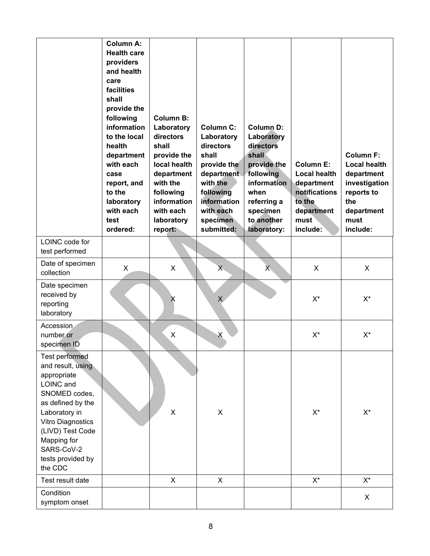| LOINC code for                                                                                                                                                                                                                             | <b>Column A:</b><br><b>Health care</b><br>providers<br>and health<br>care<br>facilities<br>shall<br>provide the<br>following<br>information<br>to the local<br>health<br>department<br>with each<br>case<br>report, and<br>to the<br>laboratory<br>with each<br>test<br>ordered: | <b>Column B:</b><br>Laboratory<br>directors<br>shall<br>provide the<br>local health<br>department<br>with the<br>following<br>information<br>with each<br>laboratory<br>report: | <b>Column C:</b><br>Laboratory<br>directors<br>shall<br>provide the<br>department<br>with the<br>following<br>information<br>with each<br>specimen<br>submitted: | <b>Column D:</b><br>Laboratory<br>directors<br>shall<br>provide the<br>following<br>information<br>when<br>referring a<br>specimen<br>to another<br>laboratory: | <b>Column E:</b><br><b>Local health</b><br>department<br>notifications<br>to the<br>department<br>must<br>include: | <b>Column F:</b><br><b>Local health</b><br>department<br>investigation<br>reports to<br>the<br>department<br>must<br>include: |
|--------------------------------------------------------------------------------------------------------------------------------------------------------------------------------------------------------------------------------------------|----------------------------------------------------------------------------------------------------------------------------------------------------------------------------------------------------------------------------------------------------------------------------------|---------------------------------------------------------------------------------------------------------------------------------------------------------------------------------|------------------------------------------------------------------------------------------------------------------------------------------------------------------|-----------------------------------------------------------------------------------------------------------------------------------------------------------------|--------------------------------------------------------------------------------------------------------------------|-------------------------------------------------------------------------------------------------------------------------------|
| test performed                                                                                                                                                                                                                             |                                                                                                                                                                                                                                                                                  |                                                                                                                                                                                 |                                                                                                                                                                  |                                                                                                                                                                 |                                                                                                                    |                                                                                                                               |
| Date of specimen<br>collection                                                                                                                                                                                                             | X                                                                                                                                                                                                                                                                                | X                                                                                                                                                                               | X                                                                                                                                                                | $X_{\cdot}$                                                                                                                                                     | X                                                                                                                  | X                                                                                                                             |
| Date specimen<br>received by<br>reporting<br>laboratory                                                                                                                                                                                    |                                                                                                                                                                                                                                                                                  | X                                                                                                                                                                               | $\mathsf{X}$                                                                                                                                                     |                                                                                                                                                                 | $X^*$                                                                                                              | $X^*$                                                                                                                         |
| Accession<br>number or<br>specimen ID                                                                                                                                                                                                      |                                                                                                                                                                                                                                                                                  | $\mathsf X$                                                                                                                                                                     | X                                                                                                                                                                |                                                                                                                                                                 | $X^*$                                                                                                              | $X^*$                                                                                                                         |
| <b>Test performed</b><br>and result, using<br>appropriate<br>LOINC and<br>SNOMED codes,<br>as defined by the<br>Laboratory in<br><b>Vitro Diagnostics</b><br>(LIVD) Test Code<br>Mapping for<br>SARS-CoV-2<br>tests provided by<br>the CDC |                                                                                                                                                                                                                                                                                  | X                                                                                                                                                                               | $\pmb{\times}$                                                                                                                                                   |                                                                                                                                                                 | $X^*$                                                                                                              | $X^*$                                                                                                                         |
| Test result date                                                                                                                                                                                                                           |                                                                                                                                                                                                                                                                                  | X                                                                                                                                                                               | X                                                                                                                                                                |                                                                                                                                                                 | $\mathsf{X}^\star$                                                                                                 | $X^*$                                                                                                                         |
| Condition<br>symptom onset                                                                                                                                                                                                                 |                                                                                                                                                                                                                                                                                  |                                                                                                                                                                                 |                                                                                                                                                                  |                                                                                                                                                                 |                                                                                                                    | X                                                                                                                             |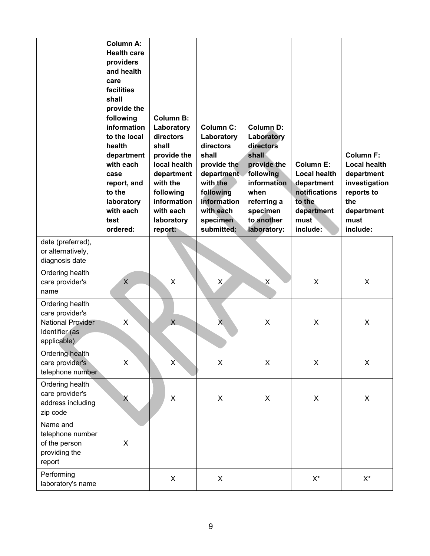|                                                                                                 | <b>Column A:</b><br><b>Health care</b><br>providers<br>and health<br>care<br>facilities<br>shall<br>provide the<br>following<br>information<br>to the local<br>health<br>department<br>with each<br>case<br>report, and<br>to the<br>laboratory<br>with each<br>test<br>ordered: | <b>Column B:</b><br>Laboratory<br>directors<br>shall<br>provide the<br>local health<br>department<br>with the<br>following<br>information<br>with each<br>laboratory<br>report: | <b>Column C:</b><br>Laboratory<br>directors<br>shall<br>provide the<br>department<br>with the<br>following<br>information<br>with each<br>specimen<br>submitted: | <b>Column D:</b><br>Laboratory<br>directors<br>shall<br>provide the<br>following<br><b>information</b><br>when<br>referring a<br>specimen<br>to another<br>laboratory: | <b>Column E:</b><br><b>Local health</b><br>department<br>notifications<br>to the<br>department<br>must<br>include: | <b>Column F:</b><br><b>Local health</b><br>department<br>investigation<br>reports to<br>the<br>department<br>must<br>include: |
|-------------------------------------------------------------------------------------------------|----------------------------------------------------------------------------------------------------------------------------------------------------------------------------------------------------------------------------------------------------------------------------------|---------------------------------------------------------------------------------------------------------------------------------------------------------------------------------|------------------------------------------------------------------------------------------------------------------------------------------------------------------|------------------------------------------------------------------------------------------------------------------------------------------------------------------------|--------------------------------------------------------------------------------------------------------------------|-------------------------------------------------------------------------------------------------------------------------------|
| date (preferred),<br>or alternatively,<br>diagnosis date                                        |                                                                                                                                                                                                                                                                                  |                                                                                                                                                                                 |                                                                                                                                                                  |                                                                                                                                                                        |                                                                                                                    |                                                                                                                               |
| Ordering health<br>care provider's<br>name                                                      | $\times$                                                                                                                                                                                                                                                                         | X                                                                                                                                                                               | X                                                                                                                                                                | X                                                                                                                                                                      | X                                                                                                                  | X                                                                                                                             |
| Ordering health<br>care provider's<br><b>National Provider</b><br>Identifier (as<br>applicable) | X                                                                                                                                                                                                                                                                                | $\mathsf{X}$                                                                                                                                                                    | $\sf X$                                                                                                                                                          | X                                                                                                                                                                      | X                                                                                                                  | X                                                                                                                             |
| Ordering health<br>care provider's<br>telephone number                                          | X                                                                                                                                                                                                                                                                                | $\overline{X}$                                                                                                                                                                  | $\pmb{\times}$                                                                                                                                                   | X                                                                                                                                                                      | X                                                                                                                  | X                                                                                                                             |
| Ordering health<br>care provider's<br>address including<br>zip code                             | X                                                                                                                                                                                                                                                                                | $\pmb{\times}$                                                                                                                                                                  | $\pmb{\times}$                                                                                                                                                   | $\mathsf X$                                                                                                                                                            | X                                                                                                                  | X                                                                                                                             |
| Name and<br>telephone number<br>of the person<br>providing the<br>report                        | $\mathsf X$                                                                                                                                                                                                                                                                      |                                                                                                                                                                                 |                                                                                                                                                                  |                                                                                                                                                                        |                                                                                                                    |                                                                                                                               |
| Performing<br>laboratory's name                                                                 |                                                                                                                                                                                                                                                                                  | X                                                                                                                                                                               | X                                                                                                                                                                |                                                                                                                                                                        | $\mathsf{X}^\star$                                                                                                 | $\mathsf{X}^\star$                                                                                                            |